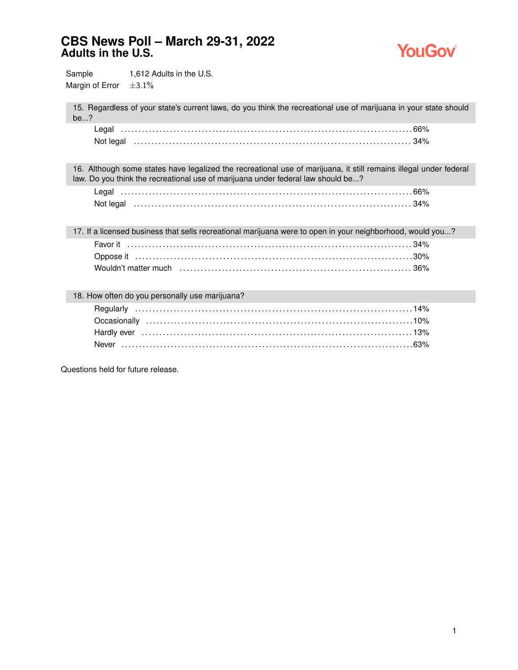

Sample 1,612 Adults in the U.S. Margin of Error  $\pm 3.1\%$ 

15. Regardless of your state's current laws, do you think the recreational use of marijuana in your state should be...?

| Legal     |  |
|-----------|--|
| Not legal |  |

16. Although some states have legalized the recreational use of marijuana, it still remains illegal under federal law. Do you think the recreational use of marijuana under federal law should be...?

| Not legal (a) and the set of the set of the set of the set of the set of the set of the set of the set of the s |  |
|-----------------------------------------------------------------------------------------------------------------|--|

17. If a licensed business that sells recreational marijuana were to open in your neighborhood, would you...? Favor it . . . . . . . . . . . . . . . . . . . . . . . . . . . . . . . . . . . . . . . . . . . . . . . . . . . . . . . . . . . . . . . . . . . . . . . . . . . . . . . . . 34% Oppose it . . . . . . . . . . . . . . . . . . . . . . . . . . . . . . . . . . . . . . . . . . . . . . . . . . . . . . . . . . . . . . . . . . . . . . . . . . . . . . . 30% Wouldn't matter much . . . . . . . . . . . . . . . . . . . . . . . . . . . . . . . . . . . . . . . . . . . . . . . . . . . . . . . . . . . . . . . . . . 36%

#### 18. How often do you personally use marijuana?

Questions held for future release.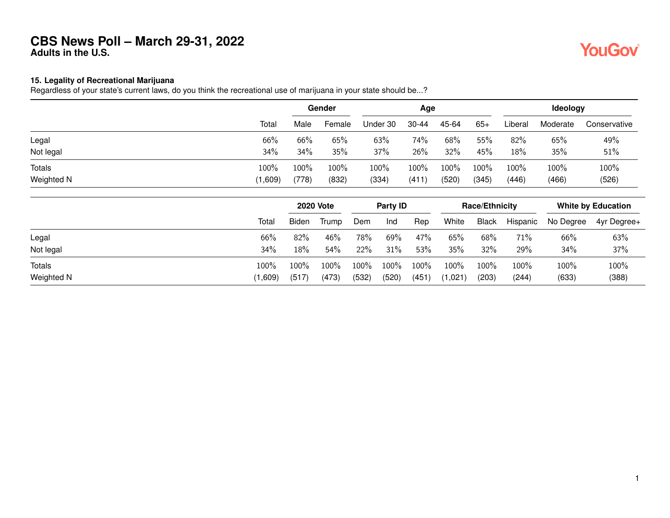### **15. Legality of Recreational Marijuana**

Regardless of your state's current laws, do you think the recreational use of marijuana in your state should be...?

|               |       |       | Gender |          | Age       |       |       | Ideology |          |              |  |
|---------------|-------|-------|--------|----------|-----------|-------|-------|----------|----------|--------------|--|
|               | Total | Male  | Female | Under 30 | $30 - 44$ | 45-64 | $65+$ | Liberal  | Moderate | Conservative |  |
| Legal         | 66%   | 66%   | $65\%$ | 63%      | 74%       | 68%   | 55%   | 82%      | 65%      | 49%          |  |
| Not legal     | 34%   | 34%   | 35%    | 37%      | 26%       | 32%   | 45%   | 18%      | 35%      | 51%          |  |
| <b>Totals</b> | 100%  | 100%  | 100%   | 100%     | 100%      | 100%  | 100%  | 100%     | 100%     | 100%         |  |
| Weighted N    | ,609) | (778) | (832)  | (334)    | (411)     | (520) | (345) | (446)    | (466)    | (526)        |  |
|               |       |       |        |          |           |       |       |          |          |              |  |

|            |         | <b>2020 Vote</b> |       | Party ID |         |       | <b>Race/Ethnicity</b> |              |          | <b>White by Education</b> |             |
|------------|---------|------------------|-------|----------|---------|-------|-----------------------|--------------|----------|---------------------------|-------------|
|            | Total   | <b>Biden</b>     | Trump | Dem      | Ind     | Rep   | White                 | <b>Black</b> | Hispanic | No Degree                 | 4yr Degree+ |
| Legal      | 66%     | 82%              | 46%   | 78%      | 69%     | 47%   | 65%                   | 68%          | 71%      | 66%                       | 63%         |
| Not legal  | 34%     | 18%              | 54%   | 22%      | 31%     | 53%   | 35%                   | 32%          | 29%      | 34%                       | 37%         |
| Totals     | 100%    | $100\%$          | 100%  | $100\%$  | $100\%$ | 100%  | $100\%$               | 100%         | 100%     | 100%                      | 100%        |
| Weighted N | (1,609) | (517)            | (473) | (532)    | (520)   | (451) | (1,021)               | (203)        | (244)    | (633)                     | (388)       |

**YouGov**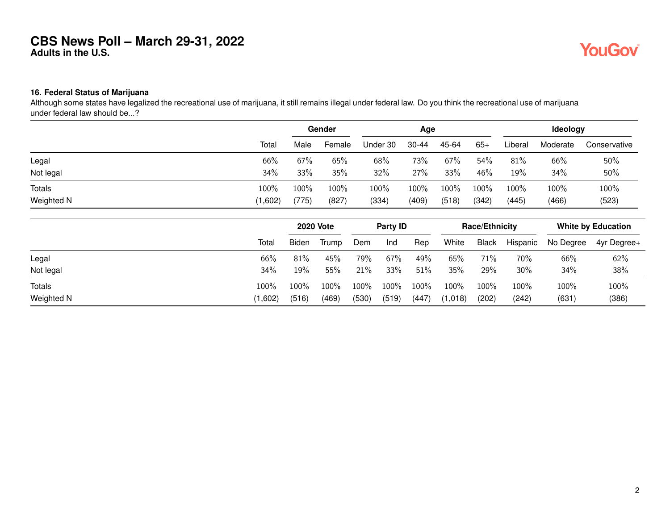# **YouGov**

#### **16. Federal Status of Marijuana**

Although some states have legalized the recreational use of marijuana, it still remains illegal under federal law. Do you think the recreational use of marijuana under federal law should be...?

|               |         | Gender |                  |       | Age      |       | Ideology              |              |          |                           |              |
|---------------|---------|--------|------------------|-------|----------|-------|-----------------------|--------------|----------|---------------------------|--------------|
|               | Total   | Male   | Female           |       | Under 30 | 30-44 | 45-64                 | $65+$        | Liberal  | Moderate                  | Conservative |
| Legal         | 66%     | 67%    | 65%              |       | 68%      | 73%   | 67%                   | 54%          | 81%      | 66%                       | 50%          |
| Not legal     | 34%     | 33%    | 35%              |       | 32%      | 27%   | 33%                   | 46%          | 19%      | 34%                       | 50%          |
| <b>Totals</b> | 100%    | 100%   | 100%             |       | 100%     | 100%  | 100%                  | 100%         | 100%     | 100%                      | 100%         |
| Weighted N    | (1,602) | (775)  | (827)            |       | (334)    | (409) | (518)                 | (342)        | (445)    | (466)                     | (523)        |
|               |         |        | <b>2020 Vote</b> |       | Party ID |       | <b>Race/Ethnicity</b> |              |          | <b>White by Education</b> |              |
|               | Total   | Biden  | Trump            | Dem   | Ind      | Rep   | White                 | <b>Black</b> | Hispanic | No Degree                 | 4yr Degree+  |
| Legal         | 66%     | 81%    | 45%              | 79%   | 67%      | 49%   | 65%                   | 71%          | 70%      | 66%                       | 62%          |
| Not legal     | 34%     | 19%    | 55%              | 21%   | 33%      | 51%   | 35%                   | 29%          | 30%      | 34%                       | 38%          |
| <b>Totals</b> | 100%    | 100%   | 100%             | 100%  | 100%     | 100%  | 100%                  | 100%         | 100%     | 100%                      | 100%         |
| Weighted N    | (1,602) | (516)  | (469)            | (530) | (519)    | (447) | (1,018)               | (202)        | (242)    | (631)                     | (386)        |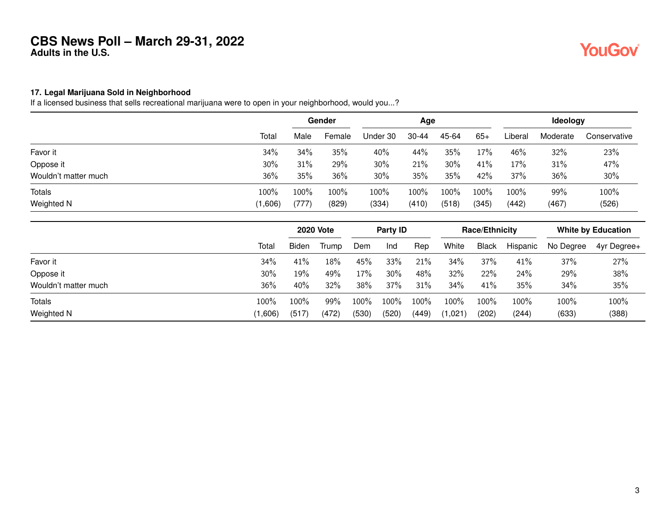# **YouGov**

#### **17. Legal Marijuana Sold in Neighborhood**

If a licensed business that sells recreational marijuana were to open in your neighborhood, would you...?

|                      |         |       | Gender |          | Age   |       |       | Ideology |          |              |  |
|----------------------|---------|-------|--------|----------|-------|-------|-------|----------|----------|--------------|--|
|                      | Total   | Male  | Female | Under 30 | 30-44 | 45-64 | $65+$ | Liberal  | Moderate | Conservative |  |
| Favor it             | 34%     | 34%   | 35%    | 40%      | 44%   | 35%   | 17%   | 46%      | 32%      | 23%          |  |
| Oppose it            | 30%     | 31%   | 29%    | 30%      | 21%   | 30%   | 41%   | 17%      | 31%      | 47%          |  |
| Wouldn't matter much | 36%     | 35%   | 36%    | 30%      | 35%   | 35%   | 42%   | 37%      | 36%      | 30%          |  |
| <b>Totals</b>        | 100%    | 100%  | 100%   | 100%     | 100%  | 100%  | 100%  | 100%     | 99%      | 100%         |  |
| Weighted N           | (1,606) | (777) | (829)  | (334)    | (410) | (518) | (345) | (442)    | (467)    | (526)        |  |

|                      |              | <b>2020 Vote</b> |       | Party <b>ID</b> |       |       | <b>Race/Ethnicity</b> |              |          | <b>White by Education</b> |             |
|----------------------|--------------|------------------|-------|-----------------|-------|-------|-----------------------|--------------|----------|---------------------------|-------------|
|                      | <b>Total</b> | <b>Biden</b>     | Trump | Dem             | Ind   | Rep   | White                 | <b>Black</b> | Hispanic | No Degree                 | 4yr Degree+ |
| Favor it             | 34%          | 41%              | 18%   | 45%             | 33%   | 21%   | 34%                   | 37%          | 41%      | 37%                       | 27%         |
| Oppose it            | 30%          | 19%              | 49%   | 17%             | 30%   | 48%   | 32%                   | 22%          | 24%      | 29%                       | 38%         |
| Wouldn't matter much | 36%          | 40%              | 32%   | 38%             | 37%   | 31%   | 34%                   | 41%          | 35%      | 34%                       | 35%         |
| Totals               | 100%         | 100%             | 99%   | $100\%$         | 100%  | 100%  | 100%                  | 100%         | 100%     | 100%                      | 100%        |
| Weighted N           | (1,606)      | (517)            | (472) | (530)           | (520) | (449) | (1,021)               | (202)        | (244)    | (633)                     | (388)       |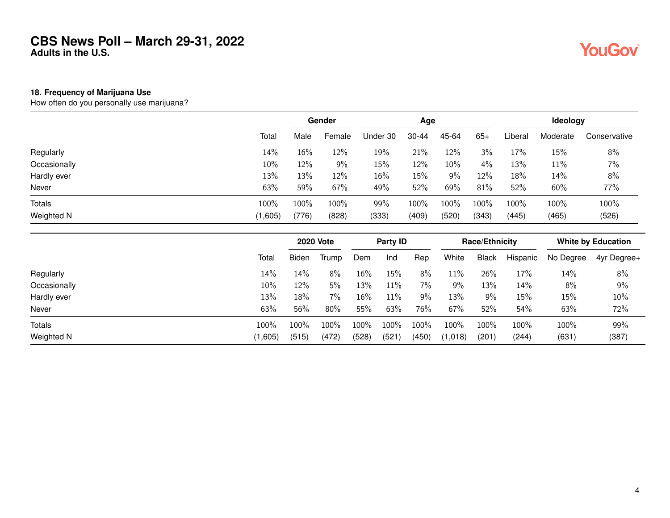#### **18. Frequency of Marijuana Use**

How often do you personally use marijuana?

|              |         |       | Gender |          | Age       |       |       | <b>Ideology</b> |          |              |  |
|--------------|---------|-------|--------|----------|-----------|-------|-------|-----------------|----------|--------------|--|
|              | Total   | Male  | Female | Under 30 | $30 - 44$ | 45-64 | $65+$ | Liberal         | Moderate | Conservative |  |
| Regularly    | 14%     | 16%   | 12%    | 19%      | 21%       | 12%   | 3%    | 17%             | 15%      | 8%           |  |
| Occasionally | 10%     | 12%   | 9%     | 15%      | 12%       | 10%   | 4%    | 13%             | 11%      | 7%           |  |
| Hardly ever  | 13%     | 13%   | 12%    | 16%      | 15%       | 9%    | 12%   | 18%             | 14%      | 8%           |  |
| Never        | 63%     | 59%   | 67%    | 49%      | 52%       | 69%   | 81%   | 52%             | 60%      | 77%          |  |
| Totals       | 100%    | 100%  | 100%   | 99%      | 100%      | 100%  | 100%  | 100%            | 100%     | 100%         |  |
| Weighted N   | (1,605) | (776) | (828)  | (333)    | (409)     | (520) | (343) | (445)           | (465)    | (526)        |  |

|               |         | <b>2020 Vote</b> |       | Party <b>ID</b> |       |       | <b>Race/Ethnicity</b> |              |          | <b>White by Education</b> |                   |
|---------------|---------|------------------|-------|-----------------|-------|-------|-----------------------|--------------|----------|---------------------------|-------------------|
|               | Total   | <b>Biden</b>     | Trump | Dem             | Ind   | Rep   | White                 | <b>Black</b> | Hispanic | No Degree                 | $4$ yr Degree $+$ |
| Regularly     | 14%     | 14%              | $8\%$ | 16%             | 15%   | 8%    | 11%                   | 26%          | 17%      | 14%                       | 8%                |
| Occasionally  | 10%     | 12%              | 5%    | 13%             | 11%   | 7%    | 9%                    | 13%          | 14%      | 8%                        | 9%                |
| Hardly ever   | 13%     | 18%              | 7%    | 16%             | 11%   | 9%    | 13%                   | 9%           | 15%      | 15%                       | 10%               |
| Never         | 63%     | 56%              | 80%   | 55%             | 63%   | 76%   | 67%                   | 52%          | 54%      | 63%                       | 72%               |
| <b>Totals</b> | 100%    | 100%             | 100%  | 100%            | 100%  | 100%  | 100%                  | 100%         | 100%     | 100%                      | 99%               |
| Weighted N    | (1,605) | (515)            | (472) | (528)           | (521) | (450) | 1,018)                | (201)        | (244)    | (631)                     | (387)             |

**YouGov**